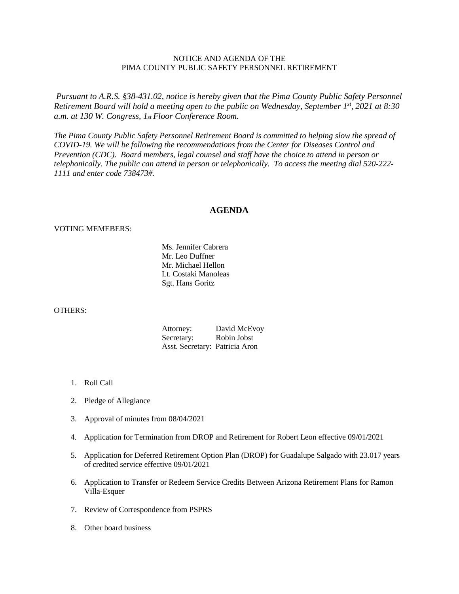## NOTICE AND AGENDA OF THE PIMA COUNTY PUBLIC SAFETY PERSONNEL RETIREMENT

*Pursuant to A.R.S. §38-431.02, notice is hereby given that the Pima County Public Safety Personnel Retirement Board will hold a meeting open to the public on Wednesday, September 1st, 2021 at 8:30 a.m. at 130 W. Congress, 1st Floor Conference Room.*

*The Pima County Public Safety Personnel Retirement Board is committed to helping slow the spread of COVID-19. We will be following the recommendations from the Center for Diseases Control and Prevention (CDC). Board members, legal counsel and staff have the choice to attend in person or telephonically. The public can attend in person or telephonically. To access the meeting dial 520-222- 1111 and enter code 738473#.*

## **AGENDA**

## VOTING MEMEBERS:

Ms. Jennifer Cabrera Mr. Leo Duffner Mr. Michael Hellon Lt. Costaki Manoleas Sgt. Hans Goritz

## OTHERS:

| Attorney:                      | David McEvoy |
|--------------------------------|--------------|
| Secretary:                     | Robin Jobst  |
| Asst. Secretary: Patricia Aron |              |

- 1. Roll Call
- 2. Pledge of Allegiance
- 3. Approval of minutes from 08/04/2021
- 4. Application for Termination from DROP and Retirement for Robert Leon effective 09/01/2021
- 5. Application for Deferred Retirement Option Plan (DROP) for Guadalupe Salgado with 23.017 years of credited service effective 09/01/2021
- 6. Application to Transfer or Redeem Service Credits Between Arizona Retirement Plans for Ramon Villa-Esquer
- 7. Review of Correspondence from PSPRS
- 8. Other board business